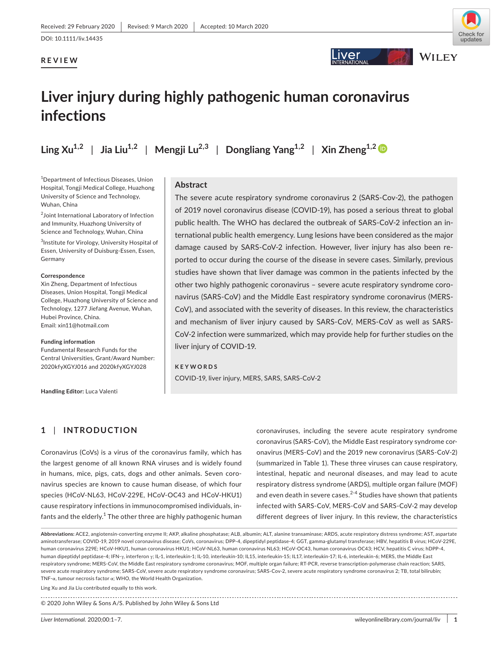## **REVIEW**



## **ver**



## **Liver injury during highly pathogenic human coronavirus infections**

**Ling**  $Xu^{1,2}$  | Jia Liu<sup>1,2</sup> | Mengji Lu<sup>2,3</sup> | Dongliang Yang<sup>1,2</sup> | Xin Zheng<sup>1,2</sup> |

1 Department of Infectious Diseases, Union Hospital, Tongji Medical College, Huazhong University of Science and Technology, Wuhan, China

2 Joint International Laboratory of Infection and Immunity, Huazhong University of Science and Technology, Wuhan, China

<sup>3</sup>Institute for Virology, University Hospital of Essen, University of Duisburg-Essen, Essen, Germany

#### **Correspondence**

Xin Zheng, Department of Infectious Diseases, Union Hospital, Tongji Medical College, Huazhong University of Science and Technology, 1277 Jiefang Avenue, Wuhan, Hubei Province, China. Email: xin11@hotmail.com

#### **Funding information**

Fundamental Research Funds for the Central Universities, Grant/Award Number: 2020kfyXGYJ016 and 2020kfyXGYJ028

**Handling Editor:** Luca Valenti

#### **Abstract**

The severe acute respiratory syndrome coronavirus 2 (SARS-Cov-2), the pathogen of 2019 novel coronavirus disease (COVID-19), has posed a serious threat to global public health. The WHO has declared the outbreak of SARS-CoV-2 infection an international public health emergency. Lung lesions have been considered as the major damage caused by SARS-CoV-2 infection. However, liver injury has also been reported to occur during the course of the disease in severe cases. Similarly, previous studies have shown that liver damage was common in the patients infected by the other two highly pathogenic coronavirus – severe acute respiratory syndrome coronavirus (SARS-CoV) and the Middle East respiratory syndrome coronavirus (MERS-CoV), and associated with the severity of diseases. In this review, the characteristics and mechanism of liver injury caused by SARS-CoV, MERS-CoV as well as SARS-CoV-2 infection were summarized, which may provide help for further studies on the liver injury of COVID-19.

#### **KEYWORDS**

COVID-19, liver injury, MERS, SARS, SARS-CoV-2

## **1** | **INTRODUCTION**

Coronavirus (CoVs) is a virus of the coronavirus family, which has the largest genome of all known RNA viruses and is widely found in humans, mice, pigs, cats, dogs and other animals. Seven coronavirus species are known to cause human disease, of which four species (HCoV-NL63, HCoV-229E, HCoV-OC43 and HCoV-HKU1) cause respiratory infections in immunocompromised individuals, infants and the elderly. $^{\rm 1}$  The other three are highly pathogenic human coronaviruses, including the severe acute respiratory syndrome coronavirus (SARS-CoV), the Middle East respiratory syndrome coronavirus (MERS-CoV) and the 2019 new coronavirus (SARS-CoV-2) (summarized in Table 1). These three viruses can cause respiratory, intestinal, hepatic and neuronal diseases, and may lead to acute respiratory distress syndrome (ARDS), multiple organ failure (MOF) and even death in severe cases. $^{2-4}$  Studies have shown that patients infected with SARS-CoV, MERS-CoV and SARS-CoV-2 may develop different degrees of liver injury. In this review, the characteristics

**Abbreviations:** ACE2, angiotensin-converting enzyme II; AKP, alkaline phosphatase; ALB, albumin; ALT, alanine transaminase; ARDS, acute respiratory distress syndrome; AST, aspartate aminotransferase; COVID-19, 2019 novel coronavirus disease; CoVs, coronavirus; DPP-4, dipeptidyl peptidase-4; GGT, gamma-glutamyl transferase; HBV, hepatitis B virus; HCoV-229E, human coronavirus 229E; HCoV-HKU1, human coronavirus HKU1; HCoV-NL63, human coronavirus NL63; HCoV-OC43, human coronavirus OC43; HCV, hepatitis C virus; hDPP-4, human dipeptidyl peptidase-4; IFN-γ, interferon γ; IL-1, interleukin-1; IL-10, interleukin-10; IL15, interleukin-15; IL17, interleukin-17; IL-6, interleukin-6; MERS, the Middle East respiratory syndrome; MERS-CoV, the Middle East respiratory syndrome coronavirus; MOF, multiple organ failure; RT-PCR, reverse transcription-polymerase chain reaction; SARS, severe acute respiratory syndrome; SARS-CoV, severe acute respiratory syndrome coronavirus; SARS-Cov-2, severe acute respiratory syndrome coronavirus 2; TB, total bilirubin; TNF-α, tumour necrosis factor α; WHO, the World Health Organization.

Ling Xu and Jia Liu contributed equally to this work.

© 2020 John Wiley & Sons A/S. Published by John Wiley & Sons Ltd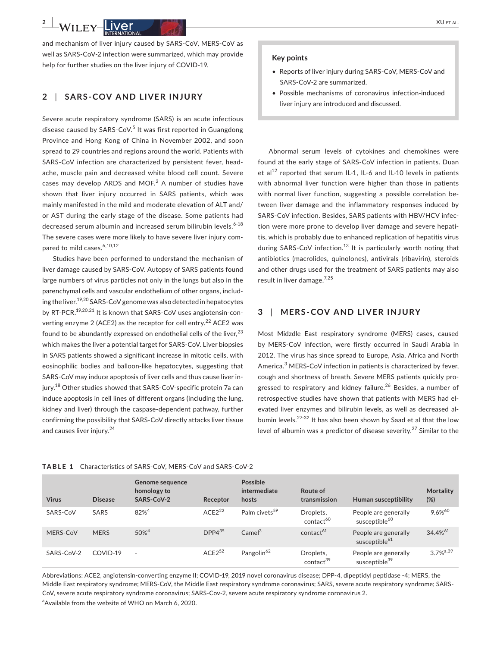and mechanism of liver injury caused by SARS-CoV, MERS-CoV as well as SARS-CoV-2 infection were summarized, which may provide help for further studies on the liver injury of COVID-19.

#### **2** | **SARS-COV AND LIVER INJURY**

Severe acute respiratory syndrome (SARS) is an acute infectious disease caused by SARS-CoV.<sup>5</sup> It was first reported in Guangdong Province and Hong Kong of China in November 2002, and soon spread to 29 countries and regions around the world. Patients with SARS-CoV infection are characterized by persistent fever, headache, muscle pain and decreased white blood cell count. Severe cases may develop ARDS and MOF. $^2$  A number of studies have shown that liver injury occurred in SARS patients, which was mainly manifested in the mild and moderate elevation of ALT and/ or AST during the early stage of the disease. Some patients had decreased serum albumin and increased serum bilirubin levels.<sup>6-18</sup> The severe cases were more likely to have severe liver injury compared to mild cases.<sup>6,10,12</sup>

Studies have been performed to understand the mechanism of liver damage caused by SARS-CoV. Autopsy of SARS patients found large numbers of virus particles not only in the lungs but also in the parenchymal cells and vascular endothelium of other organs, including the liver.<sup>19,20</sup> SARS-CoV genome was also detected in hepatocytes by RT-PCR.<sup>19,20,21</sup> It is known that SARS-CoV uses angiotensin-converting enzyme 2 (ACE2) as the receptor for cell entry.<sup>22</sup> ACE2 was found to be abundantly expressed on endothelial cells of the liver, $^{23}$ which makes the liver a potential target for SARS-CoV. Liver biopsies in SARS patients showed a significant increase in mitotic cells, with eosinophilic bodies and balloon-like hepatocytes, suggesting that SARS-CoV may induce apoptosis of liver cells and thus cause liver injury.<sup>18</sup> Other studies showed that SARS-CoV-specific protein 7a can induce apoptosis in cell lines of different organs (including the lung, kidney and liver) through the caspase-dependent pathway, further confirming the possibility that SARS-CoV directly attacks liver tissue and causes liver injury.<sup>24</sup>

#### **Key points**

- Reports of liver injury during SARS-CoV, MERS-CoV and SARS-CoV-2 are summarized.
- Possible mechanisms of coronavirus infection-induced liver injury are introduced and discussed.

Abnormal serum levels of cytokines and chemokines were found at the early stage of SARS-CoV infection in patients. Duan et al<sup>12</sup> reported that serum IL-1, IL-6 and IL-10 levels in patients with abnormal liver function were higher than those in patients with normal liver function, suggesting a possible correlation between liver damage and the inflammatory responses induced by SARS-CoV infection. Besides, SARS patients with HBV/HCV infection were more prone to develop liver damage and severe hepatitis, which is probably due to enhanced replication of hepatitis virus during SARS-CoV infection.<sup>13</sup> It is particularly worth noting that antibiotics (macrolides, quinolones), antivirals (ribavirin), steroids and other drugs used for the treatment of SARS patients may also result in liver damage.7,25

## **3** | **MERS-COV AND LIVER INJURY**

Most Midzdle East respiratory syndrome (MERS) cases, caused by MERS-CoV infection, were firstly occurred in Saudi Arabia in 2012. The virus has since spread to Europe, Asia, Africa and North America.<sup>3</sup> MERS-CoV infection in patients is characterized by fever, cough and shortness of breath. Severe MERS patients quickly progressed to respiratory and kidney failure.<sup>26</sup> Besides, a number of retrospective studies have shown that patients with MERS had elevated liver enzymes and bilirubin levels, as well as decreased albumin levels.<sup>27-32</sup> It has also been shown by Saad et al that the low level of albumin was a predictor of disease severity.<sup>27</sup> Similar to the

| <b>Virus</b> | <b>Disease</b> | Genome sequence<br>homology to<br>SARS-CoV-2 | Receptor    | Possible<br>intermediate<br>hosts | Route of<br>transmission           | Human susceptibility                              | <b>Mortality</b><br>(%) |
|--------------|----------------|----------------------------------------------|-------------|-----------------------------------|------------------------------------|---------------------------------------------------|-------------------------|
| SARS-CoV     | SARS           | $82%^{4}$                                    | $ACF2^{22}$ | Palm civets <sup>59</sup>         | Droplets,<br>contact <sup>60</sup> | People are generally<br>susceptible <sup>60</sup> | 9.6% <sup>60</sup>      |
| MERS-CoV     | <b>MERS</b>    | $50\%^{4}$                                   | $DPP4^{35}$ | Camel <sup>3</sup>                | contact <sup>61</sup>              | People are generally<br>susceptible <sup>61</sup> | 34.4% <sup>61</sup>     |
| SARS-CoV-2   | COVID-19       | $\sim$                                       | $ACE2^{52}$ | Pangolin <sup>62</sup>            | Droplets,<br>contact <sup>39</sup> | People are generally<br>susceptible <sup>39</sup> | $3.7\%^{a,39}$          |

#### **TABLE 1** Characteristics of SARS-CoV, MERS-CoV and SARS-CoV-2

Abbreviations: ACE2, angiotensin-converting enzyme II; COVID-19, 2019 novel coronavirus disease; DPP-4, dipeptidyl peptidase -4; MERS, the Middle East respiratory syndrome; MERS-CoV, the Middle East respiratory syndrome coronavirus; SARS, severe acute respiratory syndrome; SARS-CoV, severe acute respiratory syndrome coronavirus; SARS-Cov-2, severe acute respiratory syndrome coronavirus 2.

<sup>a</sup> Available from the website of WHO on March 6, 2020.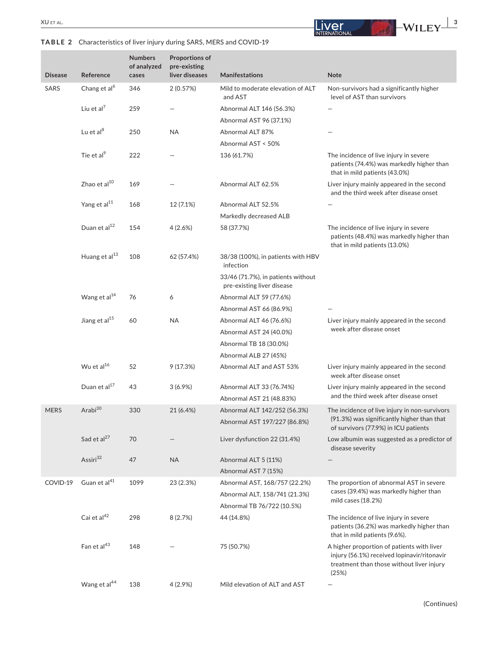## **TABLE 2** Characteristics of liver injury during SARS, MERS and COVID-19

**Proportions of** 

**Numbers** 



| <b>Disease</b> | Reference                 | of analyzed<br>cases | pre-existing<br>liver diseases | <b>Manifestations</b>                                            | <b>Note</b>                                                                                                                                     |
|----------------|---------------------------|----------------------|--------------------------------|------------------------------------------------------------------|-------------------------------------------------------------------------------------------------------------------------------------------------|
| SARS           | Chang et al <sup>6</sup>  | 346                  | 2(0.57%)                       | Mild to moderate elevation of ALT<br>and AST                     | Non-survivors had a significantly higher<br>level of AST than survivors                                                                         |
|                | Liu et al $^7$            | 259                  |                                | Abnormal ALT 146 (56.3%)                                         |                                                                                                                                                 |
|                |                           |                      |                                | Abnormal AST 96 (37.1%)                                          |                                                                                                                                                 |
|                | Lu et al <sup>8</sup>     | 250                  | <b>NA</b>                      | Abnormal ALT 87%                                                 |                                                                                                                                                 |
|                |                           |                      |                                | Abnormal AST < 50%                                               |                                                                                                                                                 |
|                | Tie et al <sup>9</sup>    | 222                  |                                | 136 (61.7%)                                                      | The incidence of live injury in severe<br>patients (74.4%) was markedly higher than<br>that in mild patients (43.0%)                            |
|                | Zhao et $al^{10}$         | 169                  |                                | Abnormal ALT 62.5%                                               | Liver injury mainly appeared in the second<br>and the third week after disease onset                                                            |
|                | Yang et al <sup>11</sup>  | 168                  | 12 (7.1%)                      | Abnormal ALT 52.5%                                               |                                                                                                                                                 |
|                |                           |                      |                                | Markedly decreased ALB                                           |                                                                                                                                                 |
|                | Duan et al <sup>12</sup>  | 154                  | 4(2.6%)                        | 58 (37.7%)                                                       | The incidence of live injury in severe<br>patients (48.4%) was markedly higher than<br>that in mild patients (13.0%)                            |
|                | Huang et al <sup>13</sup> | 108                  | 62 (57.4%)                     | 38/38 (100%), in patients with HBV<br>infection                  |                                                                                                                                                 |
|                |                           |                      |                                | 33/46 (71.7%), in patients without<br>pre-existing liver disease |                                                                                                                                                 |
|                | Wang et al <sup>14</sup>  | 76                   | 6                              | Abnormal ALT 59 (77.6%)                                          |                                                                                                                                                 |
|                |                           |                      |                                | Abnormal AST 66 (86.9%)                                          |                                                                                                                                                 |
|                | Jiang et al <sup>15</sup> | 60                   | <b>NA</b>                      | Abnormal ALT 46 (76.6%)                                          | Liver injury mainly appeared in the second                                                                                                      |
|                |                           |                      |                                | Abnormal AST 24 (40.0%)                                          | week after disease onset                                                                                                                        |
|                |                           |                      |                                | Abnormal TB 18 (30.0%)                                           |                                                                                                                                                 |
|                |                           |                      |                                | Abnormal ALB 27 (45%)                                            |                                                                                                                                                 |
|                | Wu et al <sup>16</sup>    | 52                   | 9(17.3%)                       | Abnormal ALT and AST 53%                                         | Liver injury mainly appeared in the second<br>week after disease onset                                                                          |
|                | Duan et al <sup>17</sup>  | 43                   | 3(6.9%)                        | Abnormal ALT 33 (76.74%)                                         | Liver injury mainly appeared in the second                                                                                                      |
|                |                           |                      |                                | Abnormal AST 21 (48.83%)                                         | and the third week after disease onset                                                                                                          |
| <b>MERS</b>    | Arabi <sup>30</sup>       | 330                  | 21 (6.4%)                      | Abnormal ALT 142/252 (56.3%)<br>Abnormal AST 197/227 (86.8%)     | The incidence of live injury in non-survivors<br>(91.3%) was significantly higher than that<br>of survivors (77.9%) in ICU patients             |
|                | Sad et al <sup>27</sup>   | 70                   |                                | Liver dysfunction 22 (31.4%)                                     | Low albumin was suggested as a predictor of<br>disease severity                                                                                 |
|                | Assiri <sup>32</sup>      | 47                   | <b>NA</b>                      | Abnormal ALT 5 (11%)                                             |                                                                                                                                                 |
|                |                           |                      |                                | Abnormal AST 7 (15%)                                             |                                                                                                                                                 |
| COVID-19       | Guan et al <sup>41</sup>  | 1099                 | 23 (2.3%)                      | Abnormal AST, 168/757 (22.2%)                                    | The proportion of abnormal AST in severe                                                                                                        |
|                |                           |                      |                                | Abnormal ALT, 158/741 (21.3%)                                    | cases (39.4%) was markedly higher than                                                                                                          |
|                |                           |                      |                                | Abnormal TB 76/722 (10.5%)                                       | mild cases (18.2%)                                                                                                                              |
|                | Cai et al <sup>42</sup>   | 298                  | 8(2.7%)                        | 44 (14.8%)                                                       | The incidence of live injury in severe<br>patients (36.2%) was markedly higher than<br>that in mild patients (9.6%).                            |
|                | Fan et al <sup>43</sup>   | 148                  |                                | 75 (50.7%)                                                       | A higher proportion of patients with liver<br>injury (56.1%) received lopinavir/ritonavir<br>treatment than those without liver injury<br>(25%) |
|                | Wang et al <sup>44</sup>  | 138                  | $4(2.9\%)$                     | Mild elevation of ALT and AST                                    |                                                                                                                                                 |

(Continues)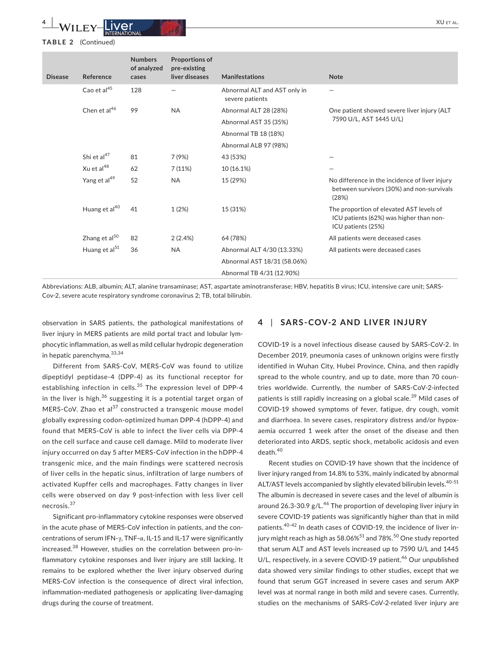#### **TABLE 2** (Continued)

| <b>Disease</b> | Reference                 | <b>Numbers</b><br>of analyzed<br>cases | <b>Proportions of</b><br>pre-existing<br>liver diseases | <b>Manifestations</b>                           | <b>Note</b>                                                                                               |  |
|----------------|---------------------------|----------------------------------------|---------------------------------------------------------|-------------------------------------------------|-----------------------------------------------------------------------------------------------------------|--|
|                | Cao et al <sup>45</sup>   | 128                                    |                                                         | Abnormal ALT and AST only in<br>severe patients |                                                                                                           |  |
|                | Chen et $al^{46}$         | 99                                     | <b>NA</b>                                               | Abnormal ALT 28 (28%)                           | One patient showed severe liver injury (ALT                                                               |  |
|                |                           |                                        |                                                         | Abnormal AST 35 (35%)                           | 7590 U/L, AST 1445 U/L)                                                                                   |  |
|                |                           |                                        |                                                         | Abnormal TB 18 (18%)                            |                                                                                                           |  |
|                |                           |                                        |                                                         | Abnormal ALB 97 (98%)                           |                                                                                                           |  |
|                | Shi et al <sup>47</sup>   | 81                                     | 7 (9%)                                                  | 43 (53%)                                        |                                                                                                           |  |
|                | Xu et al $^{48}$          | 62                                     | 7(11%)                                                  | 10 (16.1%)                                      |                                                                                                           |  |
|                | Yang et al <sup>49</sup>  | 52                                     | <b>NA</b>                                               | 15 (29%)                                        | No difference in the incidence of liver injury<br>between survivors (30%) and non-survivals<br>(28%)      |  |
|                | Huang et al <sup>40</sup> | 41                                     | 1(2%)                                                   | 15 (31%)                                        | The proportion of elevated AST levels of<br>ICU patients (62%) was higher than non-<br>ICU patients (25%) |  |
|                | Zhang et al <sup>50</sup> | 82                                     | 2(2.4%)                                                 | 64 (78%)                                        | All patients were deceased cases                                                                          |  |
|                | Huang et al <sup>51</sup> | 36                                     | <b>NA</b>                                               | Abnormal ALT 4/30 (13.33%)                      | All patients were deceased cases                                                                          |  |
|                |                           |                                        |                                                         | Abnormal AST 18/31 (58.06%)                     |                                                                                                           |  |
|                |                           |                                        |                                                         | Abnormal TB 4/31 (12.90%)                       |                                                                                                           |  |

Abbreviations: ALB, albumin; ALT, alanine transaminase; AST, aspartate aminotransferase; HBV, hepatitis B virus; ICU, intensive care unit; SARS-Cov-2, severe acute respiratory syndrome coronavirus 2; TB, total bilirubin.

observation in SARS patients, the pathological manifestations of liver injury in MERS patients are mild portal tract and lobular lymphocytic inflammation, as well as mild cellular hydropic degeneration in hepatic parenchyma. 33,34

Different from SARS-CoV, MERS-CoV was found to utilize dipeptidyl peptidase-4 (DPP-4) as its functional receptor for establishing infection in cells.<sup>35</sup> The expression level of DPP-4 in the liver is high,  $36$  suggesting it is a potential target organ of MERS-CoV. Zhao et al<sup>37</sup> constructed a transgenic mouse model globally expressing codon-optimized human DPP-4 (hDPP-4) and found that MERS-CoV is able to infect the liver cells via DPP-4 on the cell surface and cause cell damage. Mild to moderate liver injury occurred on day 5 after MERS-CoV infection in the hDPP-4 transgenic mice, and the main findings were scattered necrosis of liver cells in the hepatic sinus, infiltration of large numbers of activated Kupffer cells and macrophages. Fatty changes in liver cells were observed on day 9 post-infection with less liver cell necrosis.<sup>37</sup>

Significant pro-inflammatory cytokine responses were observed in the acute phase of MERS-CoV infection in patients, and the concentrations of serum IFN-γ, TNF-α, IL-15 and IL-17 were significantly increased.38 However, studies on the correlation between pro-inflammatory cytokine responses and liver injury are still lacking. It remains to be explored whether the liver injury observed during MERS-CoV infection is the consequence of direct viral infection, inflammation-mediated pathogenesis or applicating liver-damaging drugs during the course of treatment.

## **4** | **SARS-COV-2 AND LIVER INJURY**

COVID-19 is a novel infectious disease caused by SARS-CoV-2. In December 2019, pneumonia cases of unknown origins were firstly identified in Wuhan City, Hubei Province, China, and then rapidly spread to the whole country, and up to date, more than 70 countries worldwide. Currently, the number of SARS-CoV-2-infected patients is still rapidly increasing on a global scale.<sup>39</sup> Mild cases of COVID-19 showed symptoms of fever, fatigue, dry cough, vomit and diarrhoea. In severe cases, respiratory distress and/or hypoxaemia occurred 1 week after the onset of the disease and then deteriorated into ARDS, septic shock, metabolic acidosis and even death.<sup>40</sup>

Recent studies on COVID-19 have shown that the incidence of liver injury ranged from 14.8% to 53%, mainly indicated by abnormal ALT/AST levels accompanied by slightly elevated bilirubin levels.<sup>40-51</sup> The albumin is decreased in severe cases and the level of albumin is around 26.3-30.9  $g/L^{46}$  The proportion of developing liver injury in severe COVID-19 patients was significantly higher than that in mild patients.<sup>40-42</sup> In death cases of COVID-19, the incidence of liver injury might reach as high as  $58.06\%$ <sup>51</sup> and  $78\%$ .<sup>50</sup> One study reported that serum ALT and AST levels increased up to 7590 U/L and 1445 U/L, respectively, in a severe COVID-19 patient.<sup>46</sup> Our unpublished data showed very similar findings to other studies, except that we found that serum GGT increased in severe cases and serum AKP level was at normal range in both mild and severe cases. Currently, studies on the mechanisms of SARS-CoV-2-related liver injury are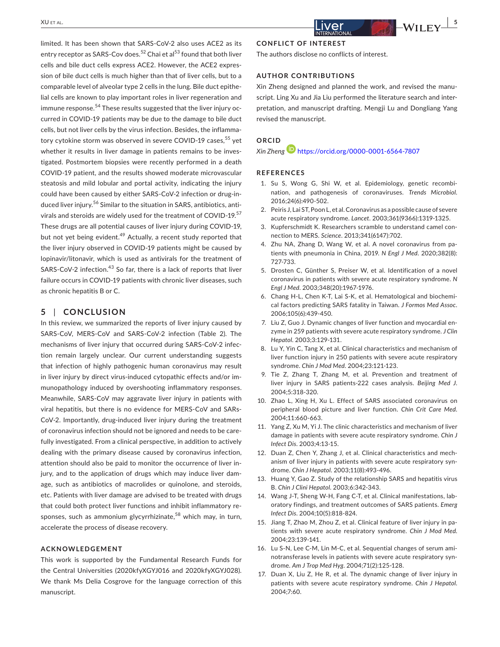limited. It has been shown that SARS-CoV-2 also uses ACE2 as its entry receptor as SARS-Cov does.<sup>52</sup> Chai et al<sup>53</sup> found that both liver cells and bile duct cells express ACE2. However, the ACE2 expression of bile duct cells is much higher than that of liver cells, but to a comparable level of alveolar type 2 cells in the lung. Bile duct epithelial cells are known to play important roles in liver regeneration and immune response.<sup>54</sup> These results suggested that the liver injury occurred in COVID-19 patients may be due to the damage to bile duct cells, but not liver cells by the virus infection. Besides, the inflammatory cytokine storm was observed in severe COVID-19 cases,<sup>55</sup> yet whether it results in liver damage in patients remains to be investigated. Postmortem biopsies were recently performed in a death COVID-19 patient, and the results showed moderate microvascular steatosis and mild lobular and portal activity, indicating the injury could have been caused by either SARS-CoV-2 infection or drug-induced liver injury.<sup>56</sup> Similar to the situation in SARS, antibiotics, antivirals and steroids are widely used for the treatment of COVID-19.<sup>57</sup> These drugs are all potential causes of liver injury during COVID-19, but not yet being evident.<sup>49</sup> Actually, a recent study reported that the liver injury observed in COVID-19 patients might be caused by lopinavir/litonavir, which is used as antivirals for the treatment of SARS-CoV-2 infection.<sup>43</sup> So far, there is a lack of reports that liver failure occurs in COVID-19 patients with chronic liver diseases, such as chronic hepatitis B or C.

#### **5** | **CONCLUSION**

In this review, we summarized the reports of liver injury caused by SARS-CoV, MERS-CoV and SARS-CoV-2 infection (Table 2). The mechanisms of liver injury that occurred during SARS-CoV-2 infection remain largely unclear. Our current understanding suggests that infection of highly pathogenic human coronavirus may result in liver injury by direct virus-induced cytopathic effects and/or immunopathology induced by overshooting inflammatory responses. Meanwhile, SARS-CoV may aggravate liver injury in patients with viral hepatitis, but there is no evidence for MERS-CoV and SARs-CoV-2. Importantly, drug-induced liver injury during the treatment of coronavirus infection should not be ignored and needs to be carefully investigated. From a clinical perspective, in addition to actively dealing with the primary disease caused by coronavirus infection, attention should also be paid to monitor the occurrence of liver injury, and to the application of drugs which may induce liver damage, such as antibiotics of macrolides or quinolone, and steroids, etc. Patients with liver damage are advised to be treated with drugs that could both protect liver functions and inhibit inflammatory responses, such as ammonium glycyrrhizinate,<sup>58</sup> which may, in turn, accelerate the process of disease recovery.

#### **ACKNOWLEDGEMENT**

This work is supported by the Fundamental Research Funds for the Central Universities (2020kfyXGYJ016 and 2020kfyXGYJ028). We thank Ms Delia Cosgrove for the language correction of this manuscript.

#### **CONFLICT OF INTEREST**

The authors disclose no conflicts of interest.

#### **AUTHOR CONTRIBUTIONS**

Xin Zheng designed and planned the work, and revised the manuscript. Ling Xu and Jia Liu performed the literature search and interpretation, and manuscript drafting. Mengji Lu and Dongliang Yang revised the manuscript.

### **ORCID**

*Xin Zheng* https://orcid.org/0000-0001-6564-7807

#### **REFERENCES**

- 1. Su S, Wong G, Shi W, et al. Epidemiology, genetic recombination, and pathogenesis of coronaviruses. *Trends Microbiol*. 2016;24(6):490-502.
- 2. Peiris J, Lai ST, Poon L, et al. Coronavirus as a possible cause of severe acute respiratory syndrome. *Lancet*. 2003;361(9366):1319-1325.
- 3. Kupferschmidt K. Researchers scramble to understand camel connection to MERS. *Science*. 2013;341(6147):702.
- 4. Zhu NA, Zhang D, Wang W, et al. A novel coronavirus from patients with pneumonia in China, 2019. *N Engl J Med*. 2020;382(8): 727-733.
- 5. Drosten C, Günther S, Preiser W, et al. Identification of a novel coronavirus in patients with severe acute respiratory syndrome. *N Engl J Med*. 2003;348(20):1967-1976.
- 6. Chang H-L, Chen K-T, Lai S-K, et al. Hematological and biochemical factors predicting SARS fatality in Taiwan. *J Formos Med Assoc*. 2006;105(6):439-450.
- 7. Liu Z, Guo J. Dynamic changes of liver function and myocardial enzyme in 259 patients with severe acute respiratory syndrome. *J Clin Hepatol*. 2003;3:129-131.
- 8. Lu Y, Yin C, Tang X, et al. Clinical characteristics and mechanism of liver function injury in 250 patients with severe acute respiratory syndrome. *Chin J Mod Med*. 2004;23:121-123.
- Tie Z, Zhang T, Zhang M, et al. Prevention and treatment of liver injury in SARS patients-222 cases analysis. *Beijing Med J*. 2004;5:318-320.
- 10. Zhao L, Xing H, Xu L. Effect of SARS associated coronavirus on peripheral blood picture and liver function. *Chin Crit Care Med*. 2004;11:660-663.
- 11. Yang Z, Xu M, Yi J. The clinic characteristics and mechanism of liver damage in patients with severe acute respiratory syndrome. *Chin J Infect Dis*. 2003;4:13-15.
- 12. Duan Z, Chen Y, Zhang J, et al. Clinical characteristics and mechanism of liver injury in patients with severe acute respiratory syndrome. *Chin J Hepatol*. 2003;11(8):493-496.
- 13. Huang Y, Gao Z. Study of the relationship SARS and hepatitis virus B. *Chin J Clini Hepatol*. 2003;6:342-343.
- 14. Wang J-T, Sheng W-H, Fang C-T, et al. Clinical manifestations, laboratory findings, and treatment outcomes of SARS patients. *Emerg Infect Dis*. 2004;10(5):818-824.
- 15. Jiang T, Zhao M, Zhou Z, et al. Clinical feature of liver injury in patients with severe acute respiratory syndrome. *Chin J Mod Med*. 2004;23:139-141.
- 16. Lu S-N, Lee C-M, Lin M-C, et al. Sequential changes of serum aminotransferase levels in patients with severe acute respiratory syndrome. *Am J Trop Med Hyg*. 2004;71(2):125-128.
- 17. Duan X, Liu Z, He R, et al. The dynamic change of liver injury in patients with severe acute respiratory syndrome. *Chin J Hepatol*. 2004;7:60.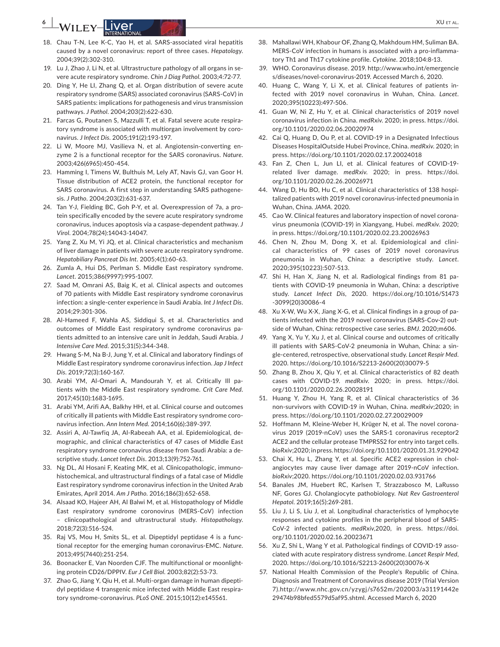# **EXTERNAL EXTENSION CONTROL**

- 18. Chau T-N, Lee K-C, Yao H, et al. SARS-associated viral hepatitis caused by a novel coronavirus: report of three cases. *Hepatology*. 2004;39(2):302-310.
- 19. Lu J, Zhao J, Li N, et al. Ultrastructure pathology of all organs in severe acute respiratory syndrome. *Chin J Diag Pathol*. 2003;4:72-77.
- 20. Ding Y, He LI, Zhang Q, et al. Organ distribution of severe acute respiratory syndrome (SARS) associated coronavirus (SARS-CoV) in SARS patients: implications for pathogenesis and virus transmission pathways. *J Pathol*. 2004;203(2):622-630.
- 21. Farcas G, Poutanen S, Mazzulli T, et al. Fatal severe acute respiratory syndrome is associated with multiorgan involvement by coronavirus. *J Infect Dis*. 2005;191(2):193-197.
- 22. Li W, Moore MJ, Vasilieva N, et al. Angiotensin-converting enzyme 2 is a functional receptor for the SARS coronavirus. *Nature*. 2003;426(6965):450-454.
- 23. Hamming I, Timens W, Bulthuis M, Lely AT, Navis GJ, van Goor H. Tissue distribution of ACE2 protein, the functional receptor for SARS coronavirus. A first step in understanding SARS pathogenesis. *J Patho*. 2004;203(2):631-637.
- 24. Tan Y-J, Fielding BC, Goh P-Y, et al. Overexpression of 7a, a protein specifically encoded by the severe acute respiratory syndrome coronavirus, induces apoptosis via a caspase-dependent pathway. *J Virol*. 2004;78(24):14043-14047.
- 25. Yang Z, Xu M, Yi JQ, et al. Clinical characteristics and mechanism of liver damage in patients with severe acute respiratory syndrome. *Hepatobiliary Pancreat Dis Int*. 2005;4(1):60-63.
- 26. Zumla A, Hui DS, Perlman S. Middle East respiratory syndrome. *Lancet*. 2015;386(9997):995-1007.
- 27. Saad M, Omrani AS, Baig K, et al. Clinical aspects and outcomes of 70 patients with Middle East respiratory syndrome coronavirus infection: a single-center experience in Saudi Arabia. *Int J Infect Dis*. 2014;29:301-306.
- 28. Al-Hameed F, Wahla AS, Siddiqui S, et al. Characteristics and outcomes of Middle East respiratory syndrome coronavirus patients admitted to an intensive care unit in Jeddah, Saudi Arabia. *J Intensive Care Med*. 2015;31(5):344-348.
- 29. Hwang S-M, Na B-J, Jung Y, et al. Clinical and laboratory findings of Middle East respiratory syndrome coronavirus infection. *Jap J Infect Dis*. 2019;72(3):160-167.
- 30. Arabi YM, Al-Omari A, Mandourah Y, et al. Critically Ill patients with the Middle East respiratory syndrome. *Crit Care Med*. 2017;45(10):1683-1695.
- 31. Arabi YM, Arifi AA, Balkhy HH, et al. Clinical course and outcomes of critically ill patients with Middle East respiratory syndrome coronavirus infection. *Ann Intern Med*. 2014;160(6):389-397.
- 32. Assiri A, Al-Tawfiq JA, Al-Rabeeah AA, et al. Epidemiological, demographic, and clinical characteristics of 47 cases of Middle East respiratory syndrome coronavirus disease from Saudi Arabia: a descriptive study. *Lancet Infect Dis*. 2013;13(9):752-761.
- 33. Ng DL, Al Hosani F, Keating MK, et al. Clinicopathologic, immunohistochemical, and ultrastructural findings of a fatal case of Middle East respiratory syndrome coronavirus infection in the United Arab Emirates, April 2014. *Am J Patho*. 2016;186(3):652-658.
- 34. Alsaad KO, Hajeer AH, Al Balwi M, et al. Histopathology of Middle East respiratory syndrome coronovirus (MERS-CoV) infection – clinicopathological and ultrastructural study. *Histopathology*. 2018;72(3):516-524.
- 35. Raj VS, Mou H, Smits SL, et al. Dipeptidyl peptidase 4 is a functional receptor for the emerging human coronavirus-EMC. *Nature*. 2013;495(7440):251-254.
- 36. Boonacker E, Van Noorden CJF. The multifunctional or moonlighting protein CD26/DPPIV. *Eur J Cell Biol*. 2003;82(2):53-73.
- 37. Zhao G, Jiang Y, Qiu H, et al. Multi-organ damage in human dipeptidyl peptidase 4 transgenic mice infected with Middle East respiratory syndrome-coronavirus. *PLoS ONE*. 2015;10(12):e145561.
- 38. Mahallawi WH, Khabour OF, Zhang Q, Makhdoum HM, Suliman BA. MERS-CoV infection in humans is associated with a pro-inflammatory Th1 and Th17 cytokine profile. *Cytokine*. 2018;104:8-13.
- 39. WHO. Coronavirus disease. 2019. http://www.who.int/emergencie s/diseases/novel-coronavirus-2019. Accessed March 6, 2020.
- 40. Huang C, Wang Y, Li X, et al. Clinical features of patients infected with 2019 novel coronavirus in Wuhan, China. *Lancet*. 2020;395(10223):497-506.
- 41. Guan W, Ni Z, Hu Y, et al. Clinical characteristics of 2019 novel coronavirus infection in China. *medRxiv*. 2020; in press. https://doi. org/10.1101/2020.02.06.20020974
- 42. Cai Q, Huang D, Ou P, et al. COVID-19 in a Designated Infectious Diseases HospitalOutside Hubei Province, China. *medRxiv*. 2020; in press. https://doi.org/10.1101/2020.02.17.20024018
- 43. Fan Z, Chen L, Jun LI, et al. Clinical features of COVID-19 related liver damage. *medRxiv*. 2020; in press. https://doi. org/10.1101/2020.02.26.20026971
- 44. Wang D, Hu BO, Hu C, et al. Clinical characteristics of 138 hospitalized patients with 2019 novel coronavirus-infected pneumonia in Wuhan, China. *JAMA*. 2020.
- 45. Cao W. Clinical features and laboratory inspection of novel coronavirus pneumonia (COVID-19) in Xiangyang, Hubei. *medRxiv*. 2020; in press. https://doi.org/10.1101/2020.02.23.20026963
- 46. Chen N, Zhou M, Dong X, et al. Epidemiological and clinical characteristics of 99 cases of 2019 novel coronavirus pneumonia in Wuhan, China: a descriptive study. *Lancet*. 2020;395(10223):507-513.
- 47. Shi H, Han X, Jiang N, et al. Radiological findings from 81 patients with COVID-19 pneumonia in Wuhan, China: a descriptive study. *Lancet Infect Dis*, 2020. https://doi.org/10.1016/S1473 -3099(20)30086-4
- 48. Xu X-W, Wu X-X, Jiang X-G, et al. Clinical findings in a group of patients infected with the 2019 novel coronavirus (SARS-Cov-2) outside of Wuhan, China: retrospective case series. *BMJ*. 2020;m606.
- 49. Yang X, Yu Y, Xu J, et al. Clinical course and outcomes of critically ill patients with SARS-CoV-2 pneumonia in Wuhan, China: a single-centered, retrospective, observational study. *Lancet Respir Med*. 2020. https://doi.org/10.1016/S2213-2600(20)30079-5
- 50. Zhang B, Zhou X, Qiu Y, et al. Clinical characteristics of 82 death cases with COVID-19. *medRxiv*. 2020; in press. https://doi. org/10.1101/2020.02.26.20028191
- 51. Huang Y, Zhou H, Yang R, et al. Clinical characteristics of 36 non-survivors with COVID-19 in Wuhan, China. *medRxiv*;2020; in press. https://doi.org/10.1101/2020.02.27.20029009
- 52. Hoffmann M, Kleine-Weber H, Krüger N, et al. The novel coronavirus 2019 (2019-nCoV) uses the SARS-1 coronavirus receptor2 ACE2 and the cellular protease TMPRSS2 for entry into target cells. *bioRxiv*;2020; in press. https://doi.org/10.1101/2020.01.31.929042
- 53. Chai X, Hu L, Zhang Y, et al. Specific ACE2 expression in cholangiocytes may cause liver damage after 2019-nCoV infection. *bioRxiv*;2020. https://doi.org/10.1101/2020.02.03.931766
- 54. Banales JM, Huebert RC, Karlsen T, Strazzabosco M, LaRusso NF, Gores GJ. Cholangiocyte pathobiology. *Nat Rev Gastroenterol Hepatol*. 2019;16(5):269-281.
- 55. Liu J, Li S, Liu J, et al. Longitudinal characteristics of lymphocyte responses and cytokine profiles in the peripheral blood of SARS-CoV-2 infected patients. *medRxiv*,2020, in press. https://doi. org/10.1101/2020.02.16.20023671
- 56. Xu Z, Shi L, Wang Y et al. Pathological findings of COVID-19 associated with acute respiratory distress syndrome. *Lancet Respir Med*, 2020. https://doi.org/10.1016/S2213-2600(20)30076-X
- 57. National Health Commission of the People's Republic of China. Diagnosis and Treatment of Coronavirus disease 2019 (Trial Version 7).http://www.nhc.gov.cn/yzygj/s7652m/202003/a31191442e 29474b98bfed5579d5af95.shtml. Accessed March 6, 2020